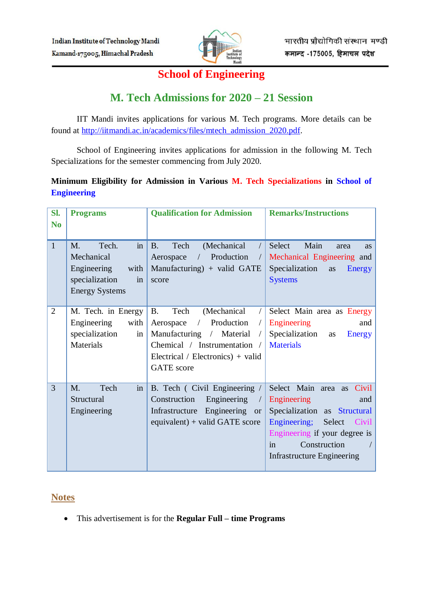

# **School of Engineering**

## **M. Tech Admissions for 2020 – 21 Session**

IIT Mandi invites applications for various M. Tech programs. More details can be found at [http://iitmandi.ac.in/academics/files/mtech\\_admission\\_2020.pdf.](http://iitmandi.ac.in/academics/files/mtech_admission_2020.pdf)

School of Engineering invites applications for admission in the following M. Tech Specializations for the semester commencing from July 2020.

#### **Minimum Eligibility for Admission in Various M. Tech Specializations in School of Engineering**

| SI.            | <b>Programs</b>                                                                                             | <b>Qualification for Admission</b>                                                                                                                                                                                                                                   | <b>Remarks/Instructions</b>                                                                                                                                                                                       |
|----------------|-------------------------------------------------------------------------------------------------------------|----------------------------------------------------------------------------------------------------------------------------------------------------------------------------------------------------------------------------------------------------------------------|-------------------------------------------------------------------------------------------------------------------------------------------------------------------------------------------------------------------|
| N <sub>0</sub> |                                                                                                             |                                                                                                                                                                                                                                                                      |                                                                                                                                                                                                                   |
| $\mathbf{1}$   | $\sin$<br>M.<br>Tech.<br>Mechanical<br>Engineering<br>with<br>specialization<br>in<br><b>Energy Systems</b> | <b>B.</b><br>Tech<br>(Mechanical<br>Production<br>Aerospace<br>$\sqrt{2}$<br>Manufacturing) + valid GATE<br>score                                                                                                                                                    | Main<br>Select<br>area<br><b>as</b><br>Mechanical Engineering and<br>Specialization<br>Energy<br>as<br><b>Systems</b>                                                                                             |
| $\overline{2}$ | M. Tech. in Energy<br>Engineering<br>with<br>specialization<br>in<br>Materials                              | <b>B.</b><br>Tech<br>(Mechanical<br>$\sqrt{2}$<br>Production<br>Aerospace<br>$\sqrt{2}$<br>$\sqrt{2}$<br>Manufacturing<br>Material<br>$\sqrt{2}$<br>$\sqrt{2}$<br>Chemical / Instrumentation<br>$\sqrt{2}$<br>Electrical / Electronics) + valid<br><b>GATE</b> score | Select Main area as Energy<br>Engineering<br>and<br>Specialization<br>Energy<br>as<br><b>Materials</b>                                                                                                            |
| 3              | Tech<br>in<br>M <sub>1</sub><br>Structural<br>Engineering                                                   | B. Tech (Civil Engineering /<br>Construction<br>Engineering<br>$\sqrt{2}$<br>Infrastructure<br>Engineering or<br>equivalent) + valid GATE score                                                                                                                      | Select Main area as<br>Civil<br>Engineering<br>and<br>Specialization as Structural<br>Engineering;<br>Select<br>Civil<br>Engineering if your degree is<br>Construction<br>in<br><b>Infrastructure Engineering</b> |

## **Notes**

This advertisement is for the **Regular Full – time Programs**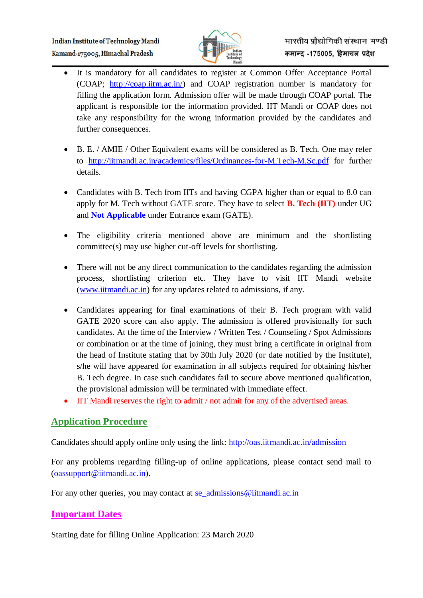

- It is mandatory for all candidates to register at Common Offer Acceptance Portal (COAP; [http://coap.iitm.ac.in/\)](http://coap.iitm.ac.in/) and COAP registration number is mandatory for filling the application form. Admission offer will be made through COAP portal. The applicant is responsible for the information provided. IIT Mandi or COAP does not take any responsibility for the wrong information provided by the candidates and further consequences.
- B. E. / AMIE / Other Equivalent exams will be considered as B. Tech. One may refer to <http://iitmandi.ac.in/academics/files/Ordinances-for-M.Tech-M.Sc.pdf> for further details.
- Candidates with B. Tech from IITs and having CGPA higher than or equal to 8.0 can apply for M. Tech without GATE score. They have to select **B. Tech (IIT)** under UG and **Not Applicable** under Entrance exam (GATE).
- The eligibility criteria mentioned above are minimum and the shortlisting committee(s) may use higher cut-off levels for shortlisting.
- There will not be any direct communication to the candidates regarding the admission process, shortlisting criterion etc. They have to visit IIT Mandi website [\(www.iitmandi.ac.in\)](http://www.iitmandi.ac.in/) for any updates related to admissions, if any.
- Candidates appearing for final examinations of their B. Tech program with valid GATE 2020 score can also apply. The admission is offered provisionally for such candidates. At the time of the Interview / Written Test / Counseling / Spot Admissions or combination or at the time of joining, they must bring a certificate in original from the head of Institute stating that by 30th July 2020 (or date notified by the Institute), s/he will have appeared for examination in all subjects required for obtaining his/her B. Tech degree. In case such candidates fail to secure above mentioned qualification, the provisional admission will be terminated with immediate effect.
- IIT Mandi reserves the right to admit / not admit for any of the advertised areas.

## **Application Procedure**

Candidates should apply online only using the link: <http://oas.iitmandi.ac.in/admission>

For any problems regarding filling-up of online applications, please contact send mail to [\(oassupport@iitmandi.ac.in\)](mailto:oassupport@iitmandi.ac.in).

For any other queries, you may contact at [se\\_admissions@iitmandi.ac.in](mailto:se_admissions@iitmandi.ac.in)

### **Important Dates**

Starting date for filling Online Application: 23 March 2020